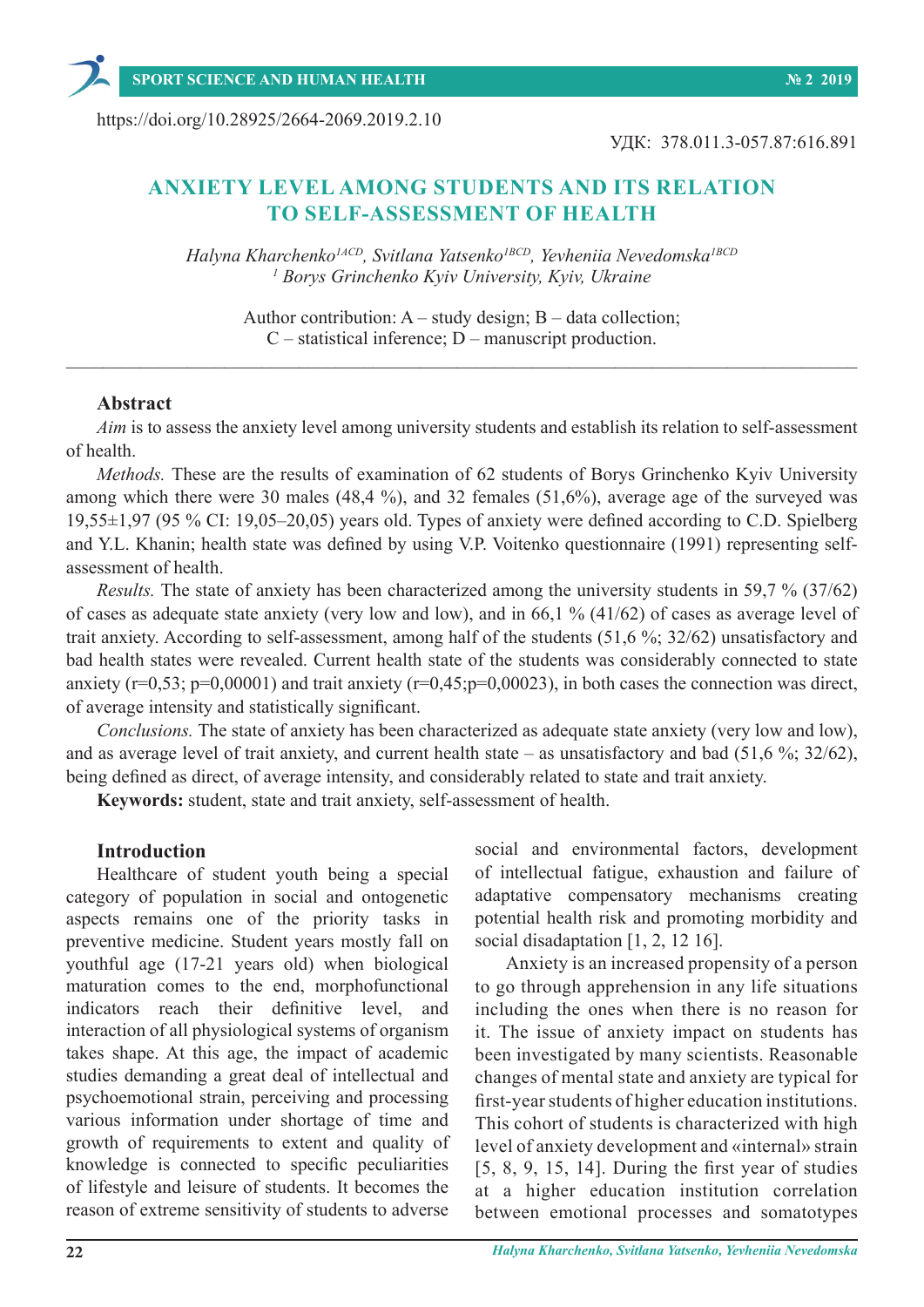https://doi.org/10.28925/2664-2069.2019.2.10

УДК: 378.011.3-057.87:616.891

# **ANXIETY LEVEL AMONG STUDENTS AND ITS RELATION TO SELF-ASSESSMENT OF HEALTH**

*Halyna Kharchenko1АCD, Svitlana Yatsenko1BCD, Yevheniia Nevedomska1BCD 1 Borys Grinchenko Kyiv University, Kyiv, Ukraine*

Author contribution:  $A - study$  design;  $B - data$  collection; C – statistical inference; D – manuscript production.  $\_$  , and the set of the set of the set of the set of the set of the set of the set of the set of the set of the set of the set of the set of the set of the set of the set of the set of the set of the set of the set of th

### **Abstract**

*Aim* is to assess the anxiety level among university students and establish its relation to self-assessment of health.

*Methods.* These are the results of examination of 62 students of Borys Grinchenko Kyiv University among which there were 30 males (48,4 %), and 32 females (51,6%), average age of the surveyed was 19,55±1,97 (95 % CI: 19,05–20,05) years old. Types of anxiety were defined according to C.D. Spielberg and Y.L. Khanin; health state was defined by using V.P. Voitenko questionnaire (1991) representing selfassessment of health.

*Results.* The state of anxiety has been characterized among the university students in 59,7 % (37/62) of cases as adequate state anxiety (very low and low), and in 66,1 % (41/62) of cases as average level of trait anxiety. According to self-assessment, among half of the students (51,6 %; 32/62) unsatisfactory and bad health states were revealed. Current health state of the students was considerably connected to state anxiety ( $r=0.53$ ;  $p=0.00001$ ) and trait anxiety ( $r=0.45$ ; $p=0.00023$ ), in both cases the connection was direct, of average intensity and statistically significant.

*Conclusions.* The state of anxiety has been characterized as adequate state anxiety (very low and low), and as average level of trait anxiety, and current health state – as unsatisfactory and bad (51,6 %; 32/62), being defined as direct, of average intensity, and considerably related to state and trait anxiety.

**Keywords:** student, state and trait anxiety, self-assessment of health.

### **Introduction**

Healthcare of student youth being a special category of population in social and ontogenetic aspects remains one of the priority tasks in preventive medicine. Student years mostly fall on youthful age (17-21 years old) when biological maturation comes to the end, morphofunctional indicators reach their definitive level, and interaction of all physiological systems of organism takes shape. At this age, the impact of academic studies demanding a great deal of intellectual and psychoemotional strain, perceiving and processing various information under shortage of time and growth of requirements to extent and quality of knowledge is connected to specific peculiarities of lifestyle and leisure of students. It becomes the reason of extreme sensitivity of students to adverse

social and environmental factors, development of intellectual fatigue, exhaustion and failure of adaptative compensatory mechanisms creating potential health risk and promoting morbidity and social disadaptation [1, 2, 12 16].

Anxiety is an increased propensity of a person to go through apprehension in any life situations including the ones when there is no reason for it. The issue of anxiety impact on students has been investigated by many scientists. Reasonable changes of mental state and anxiety are typical for first-year students of higher education institutions. This cohort of students is characterized with high level of anxiety development and «internal» strain [5, 8, 9, 15, 14]. During the first year of studies at a higher education institution correlation between emotional processes and somatotypes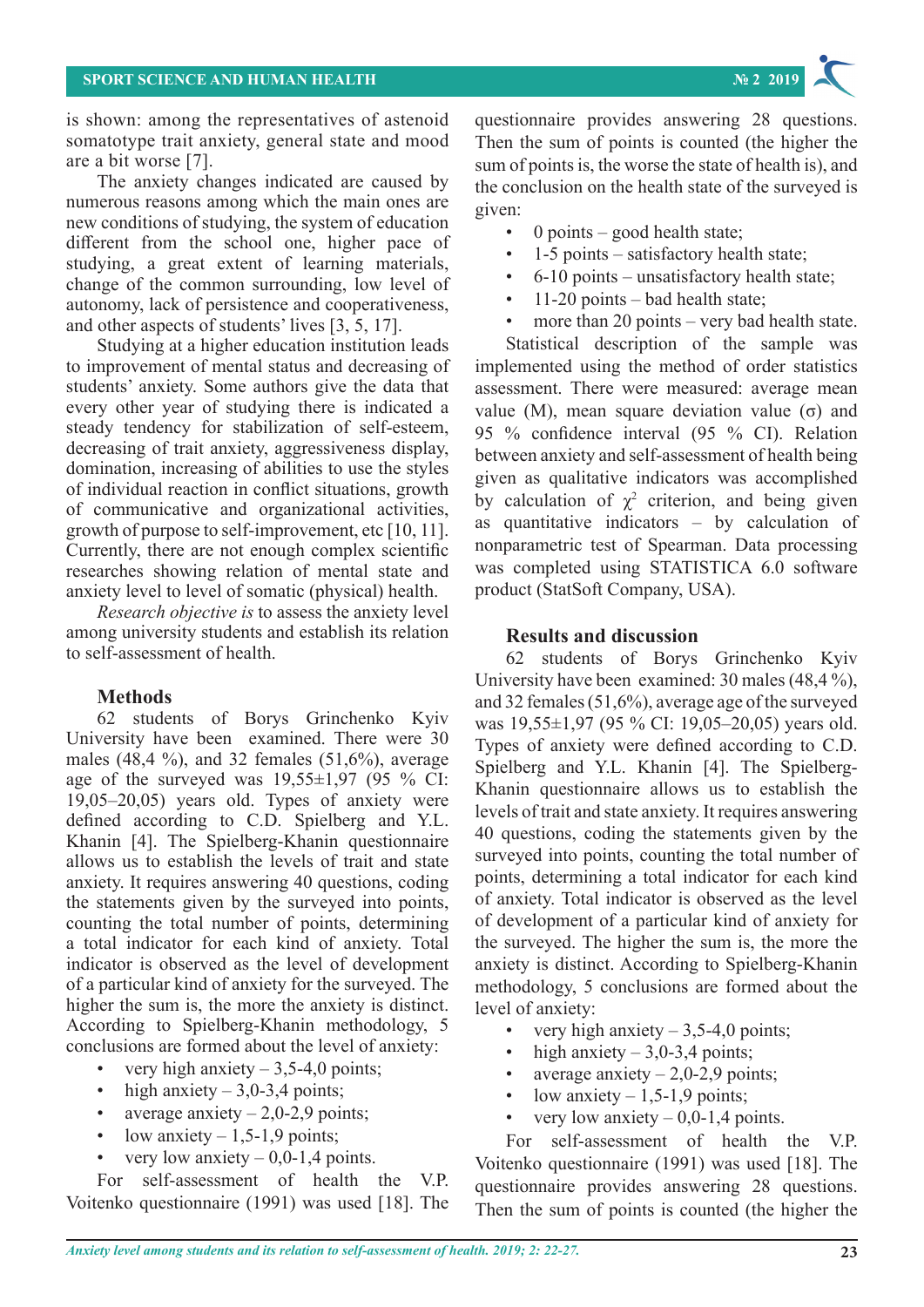is shown: among the representatives of astenoid somatotype trait anxiety, general state and mood are a bit worse [7].

The anxiety changes indicated are caused by numerous reasons among which the main ones are new conditions of studying, the system of education different from the school one, higher pace of studying, a great extent of learning materials, change of the common surrounding, low level of autonomy, lack of persistence and cooperativeness, and other aspects of students' lives [3, 5, 17].

Studying at a higher education institution leads to improvement of mental status and decreasing of students' anxiety. Some authors give the data that every other year of studying there is indicated a steady tendency for stabilization of self-esteem, decreasing of trait anxiety, aggressiveness display, domination, increasing of abilities to use the styles of individual reaction in conflict situations, growth of communicative and organizational activities, growth of purpose to self-improvement, etc [10, 11]. Currently, there are not enough complex scientific researches showing relation of mental state and anxiety level to level of somatic (physical) health.

*Research objective is* to assess the anxiety level among university students and establish its relation to self-assessment of health.

## **Methods**

62 students of Borys Grinchenko Kyiv University have been examined. There were 30 males (48,4 %), and 32 females (51,6%), average age of the surveyed was  $19,55\pm1,97$  (95 % CI: 19,05–20,05) years old. Types of anxiety were defined according to C.D. Spielberg and Y.L. Khanin [4]. The Spielberg-Khanin questionnaire allows us to establish the levels of trait and state anxiety. It requires answering 40 questions, coding the statements given by the surveyed into points, counting the total number of points, determining a total indicator for each kind of anxiety. Total indicator is observed as the level of development of a particular kind of anxiety for the surveyed. The higher the sum is, the more the anxiety is distinct. According to Spielberg-Khanin methodology, 5 conclusions are formed about the level of anxiety:

- very high anxiety  $3,5-4,0$  points;
- high anxiety  $-3,0-3,4$  points;
- average anxiety  $-2,0-2,9$  points;
- low anxiety  $-1,5-1,9$  points;
- very low anxiety  $0.0 1.4$  points.

For self-assessment of health the V.P. Voitenko questionnaire (1991) was used [18]. The

questionnaire provides answering 28 questions. Then the sum of points is counted (the higher the sum of points is, the worse the state of health is), and the conclusion on the health state of the surveyed is given:

- 0 points good health state;
- 1-5 points satisfactory health state;
- 6-10 points unsatisfactory health state;
- 11-20 points  $-$  bad health state;
- more than 20 points  $-$  very bad health state.

Statistical description of the sample was implemented using the method of order statistics assessment. There were measured: average mean value (М), mean square deviation value (σ) and 95 % confidence interval (95 % CI). Relation between anxiety and self-assessment of health being given as qualitative indicators was accomplished by calculation of  $\chi^2$  criterion, and being given as quantitative indicators – by calculation of nonparametric test of Spearman. Data processing was completed using STATISTICA 6.0 software product (StatSoft Company, USA).

### **Results and discussion**

62 students of Borys Grinchenko Kyiv University have been examined: 30 males (48,4 %), and 32 females (51,6%), average age of the surveyed was 19,55±1,97 (95 % CI: 19,05–20,05) years old. Types of anxiety were defined according to C.D. Spielberg and Y.L. Khanin [4]. The Spielberg-Khanin questionnaire allows us to establish the levels of trait and state anxiety. It requires answering 40 questions, coding the statements given by the surveyed into points, counting the total number of points, determining a total indicator for each kind of anxiety. Total indicator is observed as the level of development of a particular kind of anxiety for the surveyed. The higher the sum is, the more the anxiety is distinct. According to Spielberg-Khanin methodology, 5 conclusions are formed about the level of anxiety:

- very high anxiety  $-3,5-4,0$  points;
- high anxiety  $-3,0-3,4$  points;
- average anxiety  $-2,0-2,9$  points;
- low anxiety  $-1,5-1,9$  points;
- very low anxiety  $-0.0$ -1,4 points.

For self-assessment of health the V.P. Voitenko questionnaire (1991) was used [18]. The questionnaire provides answering 28 questions. Then the sum of points is counted (the higher the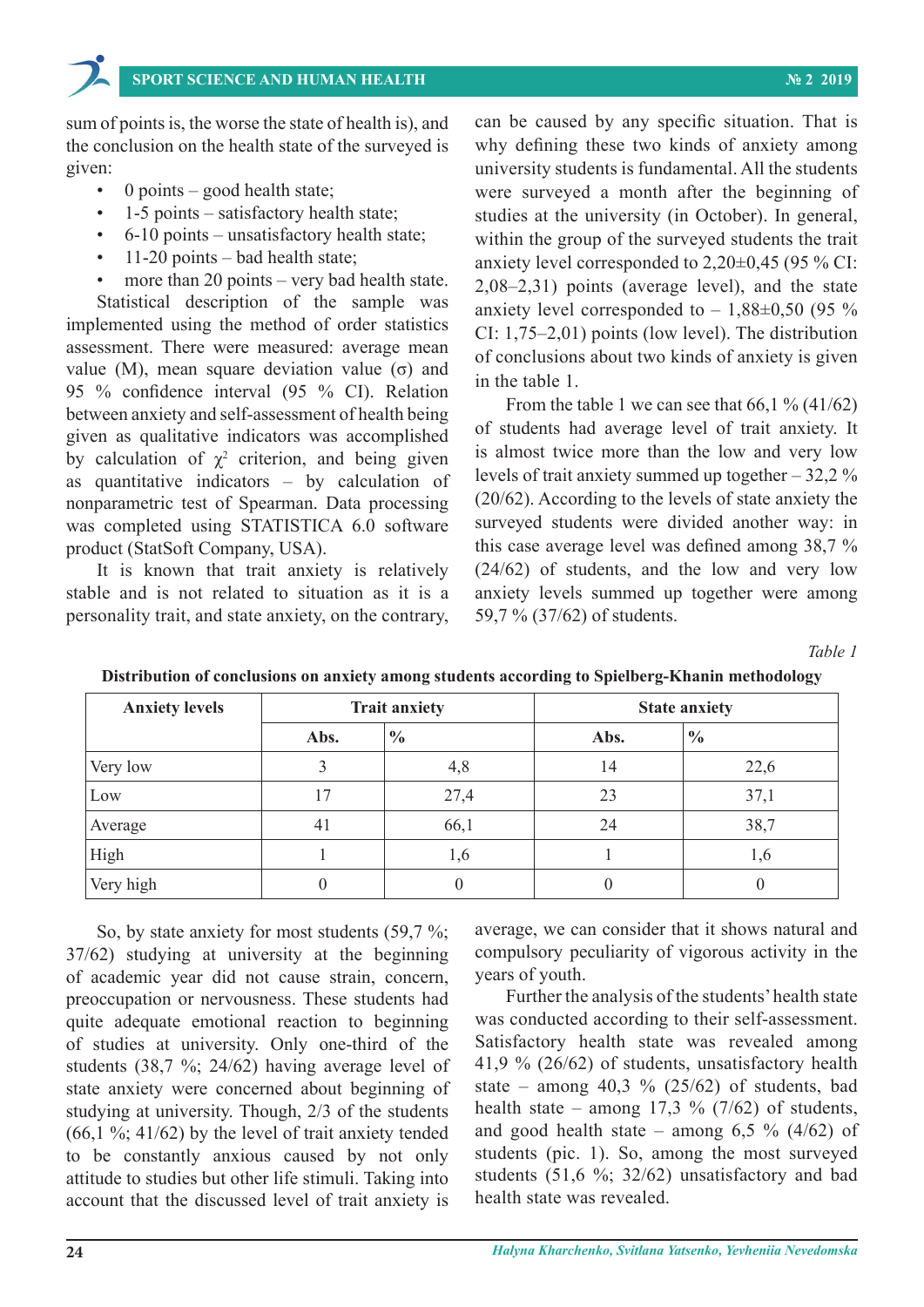sum of points is, the worse the state of health is), and the conclusion on the health state of the surveyed is given:

- $0$  points good health state;
- 1-5 points satisfactory health state;
- 6-10 points unsatisfactory health state;
- 11-20 points bad health state;
- more than 20 points very bad health state.

Statistical description of the sample was implemented using the method of order statistics assessment. There were measured: average mean value (М), mean square deviation value (σ) and 95 % confidence interval (95 % CI). Relation between anxiety and self-assessment of health being given as qualitative indicators was accomplished by calculation of  $\chi^2$  criterion, and being given as quantitative indicators – by calculation of nonparametric test of Spearman. Data processing was completed using STATISTICA 6.0 software product (StatSoft Company, USA).

It is known that trait anxiety is relatively stable and is not related to situation as it is a personality trait, and state anxiety, on the contrary,

can be caused by any specific situation. That is why defining these two kinds of anxiety among university students is fundamental. All the students were surveyed a month after the beginning of studies at the university (in October). In general, within the group of the surveyed students the trait anxiety level corresponded to 2,20±0,45 (95 % CI: 2,08–2,31) points (average level), and the state anxiety level corresponded to  $-1,88\pm0,50$  (95 %) CI: 1,75–2,01) points (low level). The distribution of conclusions about two kinds of anxiety is given in the table 1.

From the table 1 we can see that  $66,1\%$  (41/62) of students had average level of trait anxiety. It is almost twice more than the low and very low levels of trait anxiety summed up together – 32,2 % (20/62). According to the levels of state anxiety the surveyed students were divided another way: in this case average level was defined among 38,7 % (24/62) of students, and the low and very low anxiety levels summed up together were among 59,7 % (37/62) of students.

*Table 1*

| <b>Anxiety levels</b> | <b>Trait anxiety</b> |               | <b>State anxiety</b> |               |
|-----------------------|----------------------|---------------|----------------------|---------------|
|                       | Abs.                 | $\frac{0}{0}$ | Abs.                 | $\frac{0}{0}$ |
| Very low              |                      | 4,8           | 14                   | 22,6          |
| Low                   | 17                   | 27,4          | 23                   | 37,1          |
| Average               | 41                   | 66,1          | 24                   | 38,7          |
| High                  |                      | 1,6           |                      | 1,6           |
| Very high             |                      |               |                      |               |

**Distribution of conclusions on anxiety among students according to Spielberg-Khanin methodology**

So, by state anxiety for most students (59,7 %; 37/62) studying at university at the beginning of academic year did not cause strain, concern, preoccupation or nervousness. These students had quite adequate emotional reaction to beginning of studies at university. Only one-third of the students (38,7 %; 24/62) having average level of state anxiety were concerned about beginning of studying at university. Though, 2/3 of the students  $(66, 1\%; 41/62)$  by the level of trait anxiety tended to be constantly anxious caused by not only attitude to studies but other life stimuli. Taking into account that the discussed level of trait anxiety is

average, we can consider that it shows natural and compulsory peculiarity of vigorous activity in the years of youth.

Further the analysis of the students' health state was conducted according to their self-assessment. Satisfactory health state was revealed among 41,9 % (26/62) of students, unsatisfactory health state – among  $40,3$  % (25/62) of students, bad health state – among  $17.3 \%$  (7/62) of students, and good health state – among  $6,5\%$  (4/62) of students (pic. 1). So, among the most surveyed students (51,6 %; 32/62) unsatisfactory and bad health state was revealed.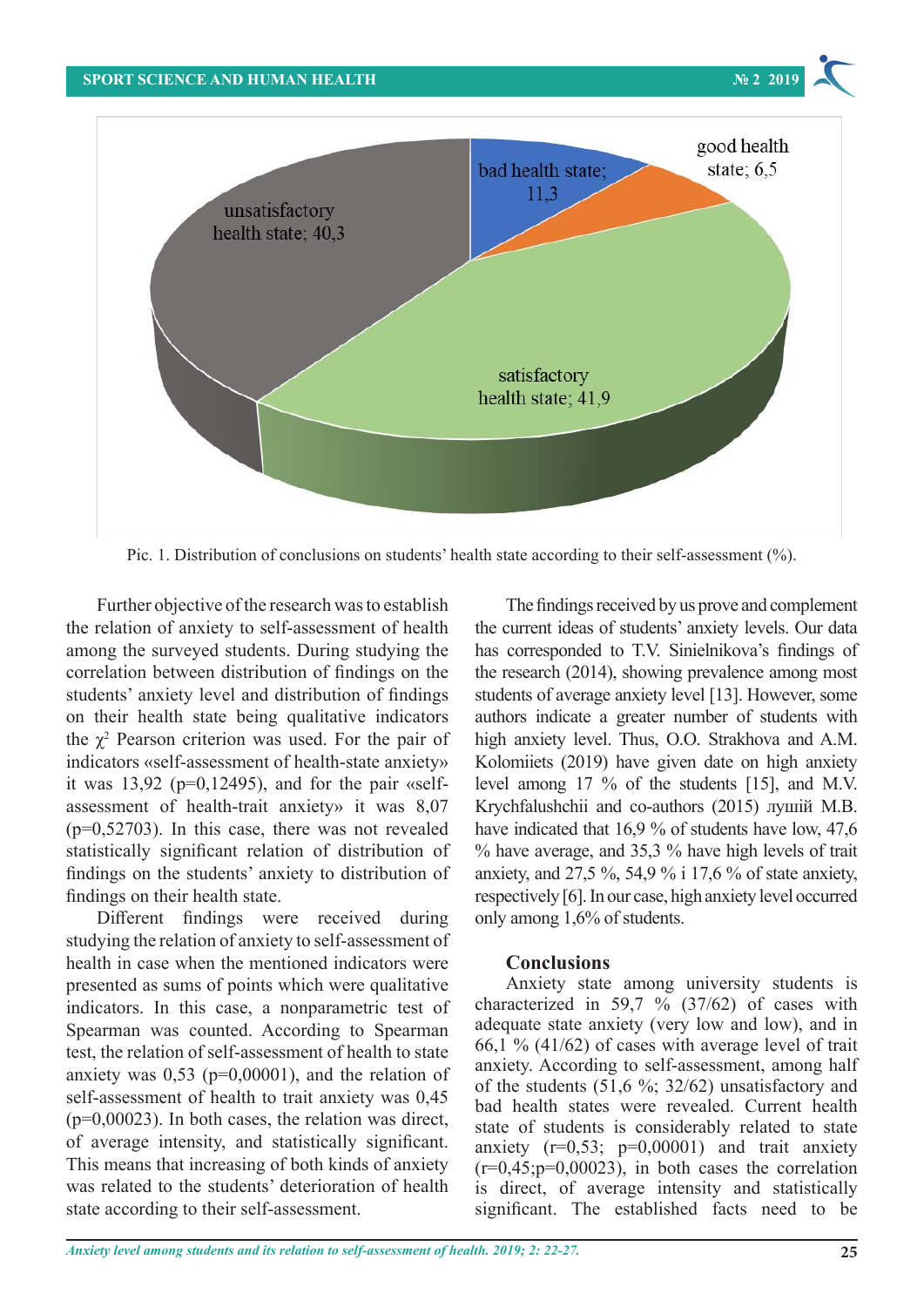

Pic. 1. Distribution of conclusions on students' health state according to their self-assessment (%). Pic. 1. Distribution of conclusions on students' health state according to their self-assessment (%).

the relation of anxiety to self-assessment of health among the surveyed students. During studying the 2 all the same of the statements of findings on the correlation between distribution of findings on the students' anxiety level and distribution of findings on their health state being qualitative indicators  $\overline{\text{indicators}}$  «self-assessment of health-state anxiety» it was  $13,92$  ( $p=0,12495$ ), and for the pair «selfassessment of health-trait anxiety» it was 8,07  $(p=0.52703)$ . In this case, there was not revealed statistically significant relation of distribution of findings on the students' anxiety to distribution of findings on their health state.

studying the relation of anxiety to self-assessment of health in case when the mentioned indicators were **Conclusions** presented as sums of points which were qualitative indicators. In this case, a nonparametric test of Spearman was counted. According to Spearman test, the relation of self-assessment of health to state anxiety was  $0.53$  ( $p=0,00001$ ), and the relation of self-assessment of health to trait anxiety was 0,45  $(p=0,00023)$ . In both cases, the relation was direct, of average intensity, and statistically significant. This means that increasing of both kinds of anxiety was related to the students' deterioration of health state according to their self-assessment. resented as sums of points which were qualitative Anxiety state among university students is

Further objective of the research was to establish The findings received by us prove and complement the  $\chi^2$  Pearson criterion was used. For the pair of high anxiety level. Thus, O.O. Strakhova and A.M. Different findings were received during only among  $1,6\%$  of students. The findings received by us prove and complement Interministic correlation of anxiety to self-assessment of health and the current ideas of students' anxiety levels. Our data health mong the surveyed students. During studying the has corresponded to T.V. Sinielnikova's findings of  $\frac{P_{\text{string}}}{P_{\text{string}}}$  and  $\frac{P_{\text{final}}}{P_{\text{initial}}}$  and  $\frac{P_{\text{initial}}}{P_{\text{initial}}}$  are  $\frac{P_{\text{initial}}}{P_{\text{initial}}}$  and  $\frac{P_{\text{initial}}}{P_{\text{initial}}}$  and  $\frac{P_{\text{initial}}}{P_{\text{initial}}}$  and  $\frac{P_{\text{initial}}}{P_{\text{initial}}}$  and  $\frac{P_{\text{initial}}}{P_{\text{initial}}}$  and  $\frac{P_{\text{initial}}}{P_{\text{initial}}}$  structured substruction of manage of the state and the research (2017), and this problem anticipation and for the pair students of average anxiety level [13]. However, some any indicate a greater number of students with the health state being qualitative indicators authors indicate a greater number of students with high anxiety level. Thus, O.O. Strakhova and A.M. Kolomiiets (2019) have given date on high anxiety 13,92 ( $p=0,12495$ ), and for the pair «self-bevel among 17 % of the students [15], and M.V. ssessment of health-trait anxiety» it was  $8.07$  Krychfalushchii and co-authors (2015) лушій M.B.  $p=0.52703$ ). In this case, there was not revealed have indicated that 16,9 % of students have low, 47,6 tatistically significant relation of distribution of % have average, and 35,3 % have high levels of trait indings on the students' anxiety to distribution of anxiety, and  $27,5$  %, 54,9 % i 17,6 % of state anxiety, indings on their health state. This means of average intensity of average intensity level occurred intensity and statistically significant intensity and statistically significant intensity of average intensity of average i only among 1,6% of students.

## **Conclusions**

characterized in 59,7 % (37/62) of cases with adequate state anxiety (very low and low), and in 66,1 %  $(41/62)$  of cases with average level of trait anxiety. According to self-assessment, among half of the students (51,6 %; 32/62) unsatisfactory and bad health states were revealed. Current health state of students is considerably related to state anxiety  $(r=0.53; p=0.00001)$  and trait anxiety  $(r=0.45;p=0.00023)$ , in both cases the correlation is direct, of average intensity and statistically significant. The established facts need to be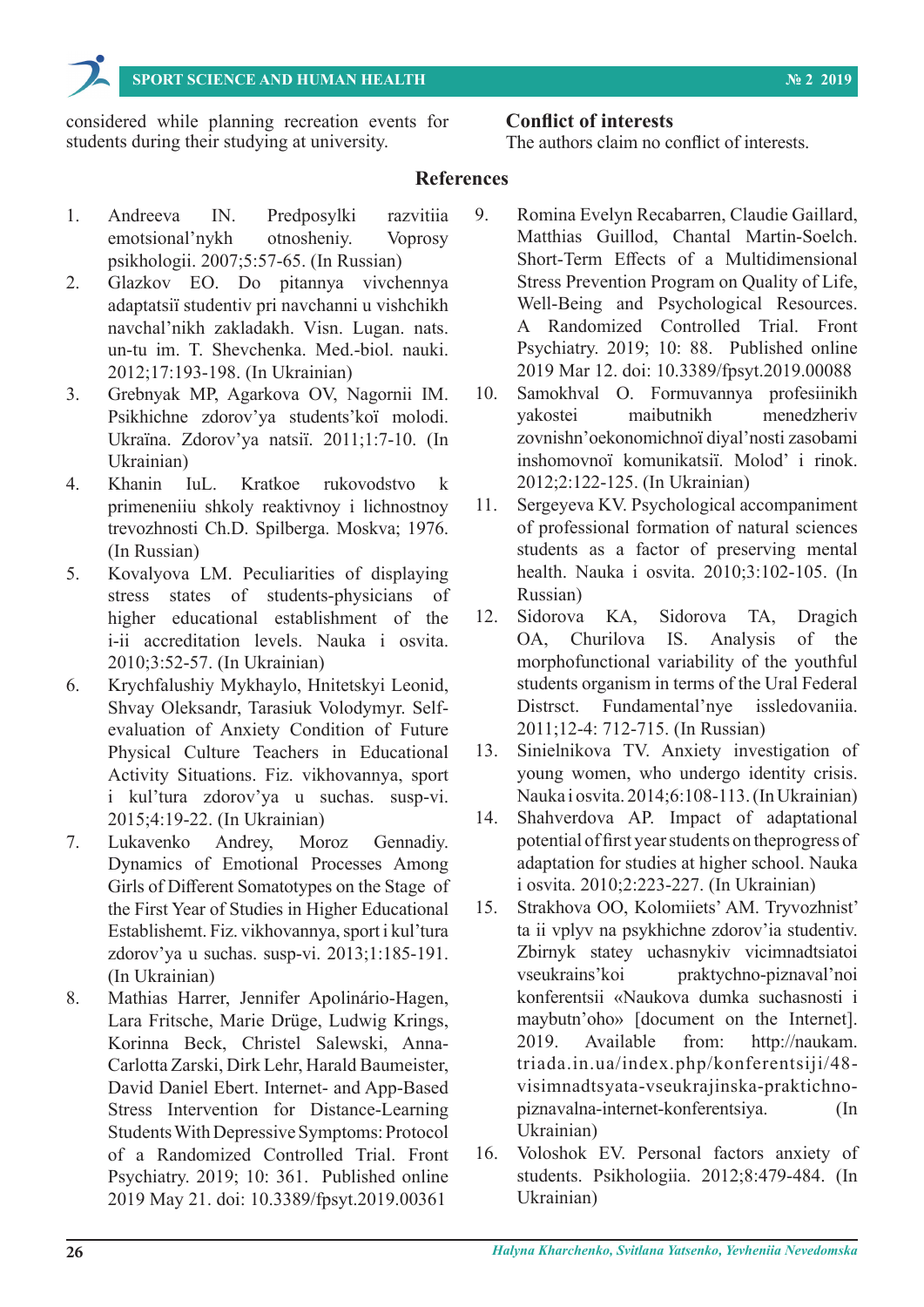**SPORT SCIENCE AND HUMAN HEALTH № 2 2019**

considered while planning recreation events for students during their studying at university.

# **Conflict of interests**

The authors claim no conflict of interests.

# **References**

- 1. Andreeva IN. Predposylki razvitiia emotsional'nykh otnosheniy. Voprosy psikhologii. 2007;5:57-65. (In Russian)
- 2. Glazkov EO. Do pitannya vivchennya adaptatsії studentіv pri navchannі u vishchikh navchal'nikh zakladakh. Vіsn. Lugan. nats. un-tu іm. T. Shevchenka. Med.-bіol. nauki. 2012;17:193-198. (In Ukrainian)
- 3. Grebnyak MP, Agarkova OV, Nagornii ІM. Psikhіchne zdorov'ya students'koї molodі. Ukraїna. Zdorov'ya natsії. 2011;1:7-10. (In Ukrainian)
- 4. Khanin IuL. Kratkoe rukovodstvo k primeneniiu shkoly reaktivnoy i lichnostnoy trevozhnosti Ch.D. Spilberga. Moskva; 1976. (In Russian)
- 5. Kovalyova LM. Peculiarities of displaying stress states of students-physicians of higher educational establishment of the і-іі accreditation levels. Nauka і osvіta. 2010;3:52-57. (In Ukrainian)
- 6. Krychfalushiy Mykhaylo, Hnitetskyi Leonid, Shvay Oleksandr, Tarasiuk Volodymyr. Selfevaluation of Anxiety Condition of Future Physical Culture Teachers in Educational Activity Situations. Fіz. vikhovannya, sport і kul'tura zdorov'ya u suchas. susp-vі. 2015;4:19-22. (In Ukrainian)
- 7. Lukavenko Andrey, Moroz Gennadiy. Dynamics of Emotional Processes Among Girls of Different Somatotypes on the Stage of the First Year of Studies in Higher Educational Establishemt. Fіz. vikhovannya, sport і kul'tura zdorov'ya u suchas. susp-vі. 2013;1:185-191. (In Ukrainian)
- 8. Mathias Harrer, Jennifer Apolinário-Hagen, Lara Fritsche, Marie Drüge, Ludwig Krings, Korinna Beck, Christel Salewski, Anna-Carlotta Zarski, Dirk Lehr, Harald Baumeister, David Daniel Ebert. Internet- and App-Based Stress Intervention for Distance-Learning Students With Depressive Symptoms: Protocol of a Randomized Controlled Trial. Front Psychiatry. 2019; 10: 361. Published online 2019 May 21. doi: 10.3389/fpsyt.2019.00361
- 9. Romina Evelyn Recabarren, Claudie Gaillard, Matthias Guillod, Chantal Martin-Soelch. Short-Term Effects of a Multidimensional Stress Prevention Program on Quality of Life, Well-Being and Psychological Resources. A Randomized Controlled Trial. Front Psychiatry. 2019; 10: 88. Published online 2019 Mar 12. doi: 10.3389/fpsyt.2019.00088
- 10. Samokhval O. Formuvannya profesіinikh yakostei maibutnіkh menedzherіv zovnіshn'oekonomіchnoї dіyal'nostі zasobami іnshomovnoї komunіkatsії. Molod' і rinok. 2012;2:122-125. (In Ukrainian)
- 11. Sergeyeva KV. Psychological accompaniment of professional formation of natural sciences students as a factor of preserving mental health. Nauka і osvіta. 2010;3:102-105. (In Russian)
- 12. Sidorova KA, Sidorova TA, Dragich OA, Churilova IS. Аnalysis of the morphofunctional variability of the youthful students organism in terms of the Ural Federal Distrsct. Fundamental'nye issledovaniia. 2011;12-4: 712-715. (In Russian)
- 13. Sinielnikova TV. Anxiety investigation of young women, who undergo identity crisis. Nauka і osvіta. 2014;6:108-113. (In Ukrainian)
- 14. Shahverdova AP. Impact of adaptational potential of first year students on theprogress of adaptation for studies at higher school. Nauka і osvіta. 2010;2:223-227. (In Ukrainian)
- 15. Strakhova OO, Kolomiiets' AM. Tryvozhnist' ta ii vplyv na psykhichne zdorov'ia studentiv. Zbirnyk statey uchasnykiv vicimnadtsiatoi vseukrains'koi praktychno-piznaval'noi konferentsii «Naukova dumka suchasnosti i maybutn'oho» [document on the Internet]. 2019. Available from: http://naukam. triada.in.ua/index.php/konferentsiji/48 visimnadtsyata-vseukrajinska-praktichnopiznavalna-internet-konferentsiya. (In Ukrainian)
- 16. Voloshok EV. Personal factors anxiety of students. Psikhologіia. 2012;8:479-484. (In Ukrainian)